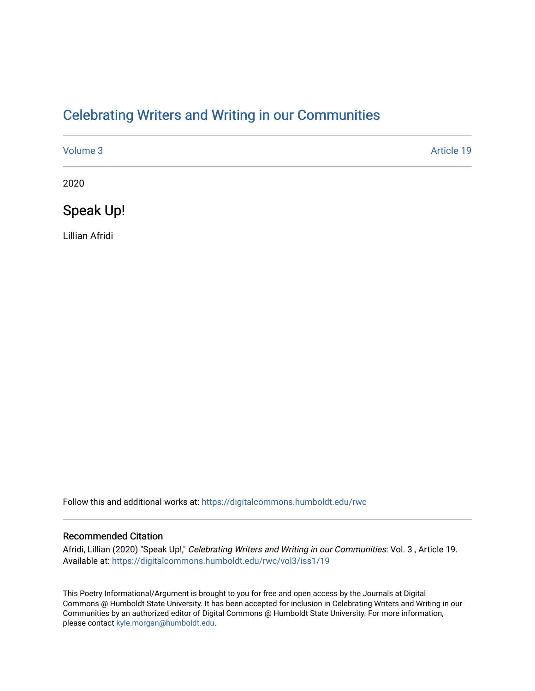## [Celebrating Writers and Writing in our Communities](https://digitalcommons.humboldt.edu/rwc)

| Volume 3 | Article 19 |
|----------|------------|
| 2020     |            |

Speak Up!

Lillian Afridi

Follow this and additional works at: [https://digitalcommons.humboldt.edu/rwc](https://digitalcommons.humboldt.edu/rwc?utm_source=digitalcommons.humboldt.edu%2Frwc%2Fvol3%2Fiss1%2F19&utm_medium=PDF&utm_campaign=PDFCoverPages) 

#### Recommended Citation

Afridi, Lillian (2020) "Speak Up!," Celebrating Writers and Writing in our Communities: Vol. 3 , Article 19. Available at: [https://digitalcommons.humboldt.edu/rwc/vol3/iss1/19](https://digitalcommons.humboldt.edu/rwc/vol3/iss1/19?utm_source=digitalcommons.humboldt.edu%2Frwc%2Fvol3%2Fiss1%2F19&utm_medium=PDF&utm_campaign=PDFCoverPages) 

This Poetry Informational/Argument is brought to you for free and open access by the Journals at Digital Commons @ Humboldt State University. It has been accepted for inclusion in Celebrating Writers and Writing in our Communities by an authorized editor of Digital Commons @ Humboldt State University. For more information, please contact [kyle.morgan@humboldt.edu.](mailto:kyle.morgan@humboldt.edu)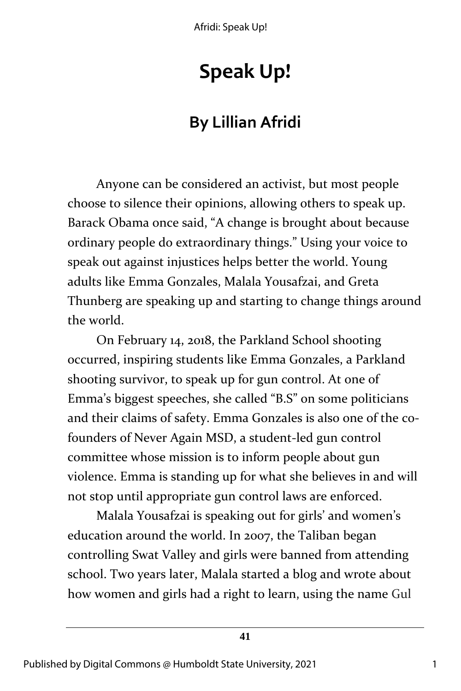Afridi: Speak Up!

# **Speak Up!**

## **By Lillian Afridi**

Anyone can be considered an activist, but most people choose to silence their opinions, allowing others to speak up. Barack Obama once said, "A change is brought about because ordinary people do extraordinary things." Using your voice to speak out against injustices helps better the world. Young adults like Emma Gonzales, Malala Yousafzai, and Greta Thunberg are speaking up and starting to change things around the world.

On February 14, 2018, the Parkland School shooting occurred, inspiring students like Emma Gonzales, a Parkland shooting survivor, to speak up for gun control. At one of Emma's biggest speeches, she called "B.S" on some politicians and their claims of safety. Emma Gonzales is also one of the cofounders of Never Again MSD, a student-led gun control committee whose mission is to inform people about gun violence. Emma is standing up for what she believes in and will not stop until appropriate gun control laws are enforced.

Malala Yousafzai is speaking out for girls' and women's education around the world. In 2007, the Taliban began controlling Swat Valley and girls were banned from attending school. Two years later, Malala started a blog and wrote about how women and girls had a right to learn, using the name Gul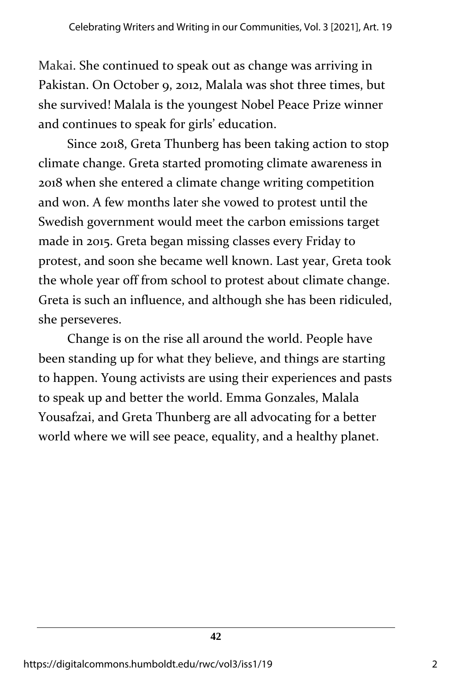Makai. She continued to speak out as change was arriving in Pakistan. On October 9, 2012, Malala was shot three times, but she survived! Malala is the youngest Nobel Peace Prize winner and continues to speak for girls' education.

Since 2018, Greta Thunberg has been taking action to stop climate change. Greta started promoting climate awareness in 2018 when she entered a climate change writing competition and won. A few months later she vowed to protest until the Swedish government would meet the carbon emissions target made in 2015. Greta began missing classes every Friday to protest, and soon she became well known. Last year, Greta took the whole year off from school to protest about climate change. Greta is such an influence, and although she has been ridiculed, she perseveres.

Change is on the rise all around the world. People have been standing up for what they believe, and things are starting to happen. Young activists are using their experiences and pasts to speak up and better the world. Emma Gonzales, Malala Yousafzai, and Greta Thunberg are all advocating for a better world where we will see peace, equality, and a healthy planet.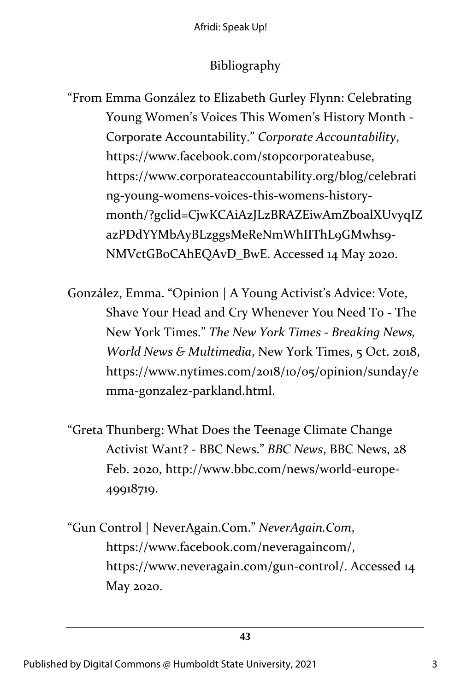### Bibliography

"From Emma González to Elizabeth Gurley Flynn: Celebrating Young Women's Voices This Women's History Month - Corporate Accountability." *Corporate Accountability*, https://www.facebook.com/stopcorporateabuse, https://www.corporateaccountability.org/blog/celebrati ng-young-womens-voices-this-womens-historymonth/?gclid=CjwKCAiAzJLzBRAZEiwAmZb0alXUvyqIZ azPDdYYMbAyBLzggsMeReNmWhIIThL9GMwhs9- NMVctGBoCAhEQAvD\_BwE. Accessed 14 May 2020.

González, Emma. "Opinion | A Young Activist's Advice: Vote, Shave Your Head and Cry Whenever You Need To - The New York Times." *The New York Times - Breaking News, World News & Multimedia*, New York Times, 5 Oct. 2018, https://www.nytimes.com/2018/10/05/opinion/sunday/e mma-gonzalez-parkland.html.

- "Greta Thunberg: What Does the Teenage Climate Change Activist Want? - BBC News." *BBC News*, BBC News, 28 Feb. 2020, http://www.bbc.com/news/world-europe-49918719.
- "Gun Control | NeverAgain.Com." *NeverAgain.Com*, https://www.facebook.com/neveragaincom/, https://www.neveragain.com/gun-control/. Accessed 14 May 2020.